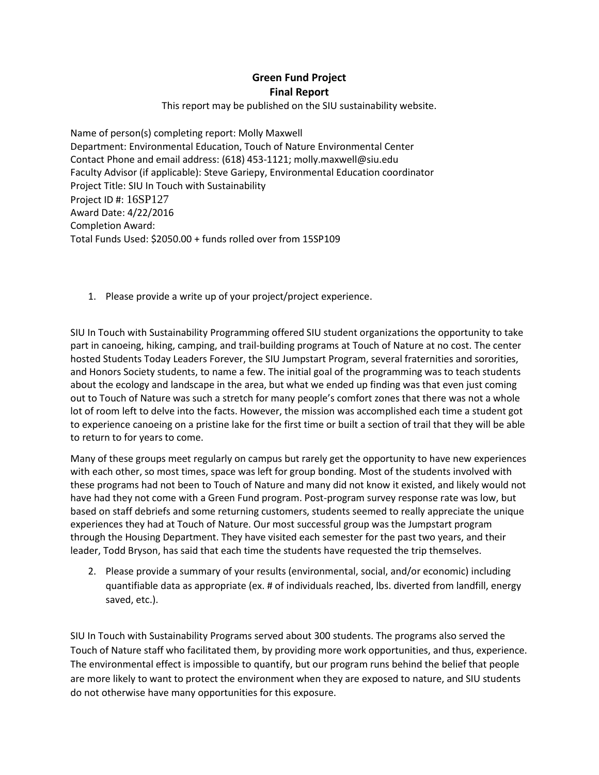## **Green Fund Project Final Report**

This report may be published on the SIU sustainability website.

Name of person(s) completing report: Molly Maxwell Department: Environmental Education, Touch of Nature Environmental Center Contact Phone and email address: (618) 453-1121; molly.maxwell@siu.edu Faculty Advisor (if applicable): Steve Gariepy, Environmental Education coordinator Project Title: SIU In Touch with Sustainability Project ID #: 16SP127 Award Date: 4/22/2016 Completion Award: Total Funds Used: \$2050.00 + funds rolled over from 15SP109

1. Please provide a write up of your project/project experience.

SIU In Touch with Sustainability Programming offered SIU student organizations the opportunity to take part in canoeing, hiking, camping, and trail-building programs at Touch of Nature at no cost. The center hosted Students Today Leaders Forever, the SIU Jumpstart Program, several fraternities and sororities, and Honors Society students, to name a few. The initial goal of the programming was to teach students about the ecology and landscape in the area, but what we ended up finding was that even just coming out to Touch of Nature was such a stretch for many people's comfort zones that there was not a whole lot of room left to delve into the facts. However, the mission was accomplished each time a student got to experience canoeing on a pristine lake for the first time or built a section of trail that they will be able to return to for years to come.

Many of these groups meet regularly on campus but rarely get the opportunity to have new experiences with each other, so most times, space was left for group bonding. Most of the students involved with these programs had not been to Touch of Nature and many did not know it existed, and likely would not have had they not come with a Green Fund program. Post-program survey response rate was low, but based on staff debriefs and some returning customers, students seemed to really appreciate the unique experiences they had at Touch of Nature. Our most successful group was the Jumpstart program through the Housing Department. They have visited each semester for the past two years, and their leader, Todd Bryson, has said that each time the students have requested the trip themselves.

2. Please provide a summary of your results (environmental, social, and/or economic) including quantifiable data as appropriate (ex. # of individuals reached, lbs. diverted from landfill, energy saved, etc.).

SIU In Touch with Sustainability Programs served about 300 students. The programs also served the Touch of Nature staff who facilitated them, by providing more work opportunities, and thus, experience. The environmental effect is impossible to quantify, but our program runs behind the belief that people are more likely to want to protect the environment when they are exposed to nature, and SIU students do not otherwise have many opportunities for this exposure.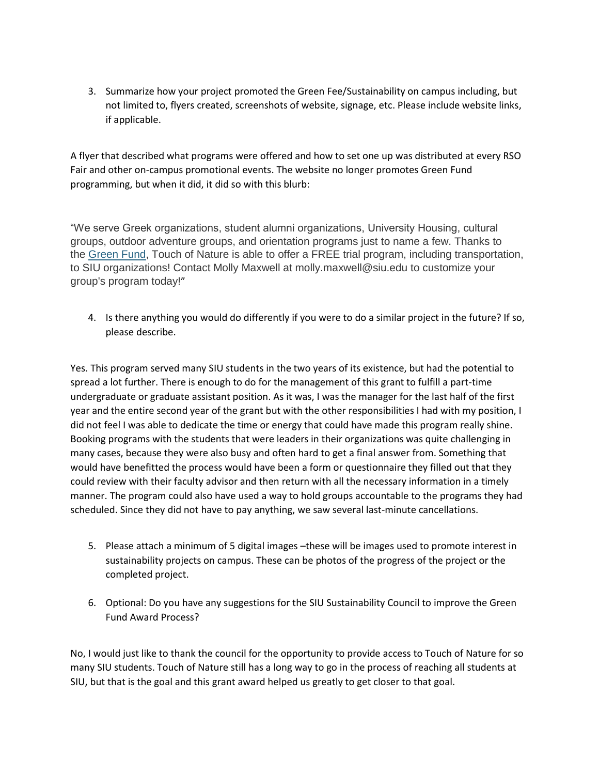3. Summarize how your project promoted the Green Fee/Sustainability on campus including, but not limited to, flyers created, screenshots of website, signage, etc. Please include website links, if applicable.

A flyer that described what programs were offered and how to set one up was distributed at every RSO Fair and other on-campus promotional events. The website no longer promotes Green Fund programming, but when it did, it did so with this blurb:

"We serve Greek organizations, student alumni organizations, University Housing, cultural groups, outdoor adventure groups, and orientation programs just to name a few. Thanks to the [Green Fund,](http://sustainability.siu.edu/) Touch of Nature is able to offer a FREE trial program, including transportation, to SIU organizations! Contact Molly Maxwell at molly.maxwell@siu.edu to customize your group's program today!"

4. Is there anything you would do differently if you were to do a similar project in the future? If so, please describe.

Yes. This program served many SIU students in the two years of its existence, but had the potential to spread a lot further. There is enough to do for the management of this grant to fulfill a part-time undergraduate or graduate assistant position. As it was, I was the manager for the last half of the first year and the entire second year of the grant but with the other responsibilities I had with my position, I did not feel I was able to dedicate the time or energy that could have made this program really shine. Booking programs with the students that were leaders in their organizations was quite challenging in many cases, because they were also busy and often hard to get a final answer from. Something that would have benefitted the process would have been a form or questionnaire they filled out that they could review with their faculty advisor and then return with all the necessary information in a timely manner. The program could also have used a way to hold groups accountable to the programs they had scheduled. Since they did not have to pay anything, we saw several last-minute cancellations.

- 5. Please attach a minimum of 5 digital images –these will be images used to promote interest in sustainability projects on campus. These can be photos of the progress of the project or the completed project.
- 6. Optional: Do you have any suggestions for the SIU Sustainability Council to improve the Green Fund Award Process?

No, I would just like to thank the council for the opportunity to provide access to Touch of Nature for so many SIU students. Touch of Nature still has a long way to go in the process of reaching all students at SIU, but that is the goal and this grant award helped us greatly to get closer to that goal.